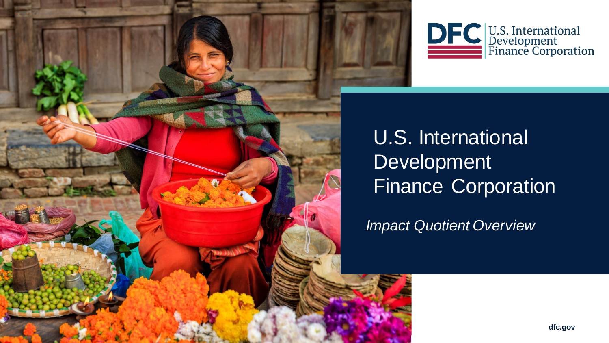



U.S. International Development Finance Corporation

*Impact Quotient Overview*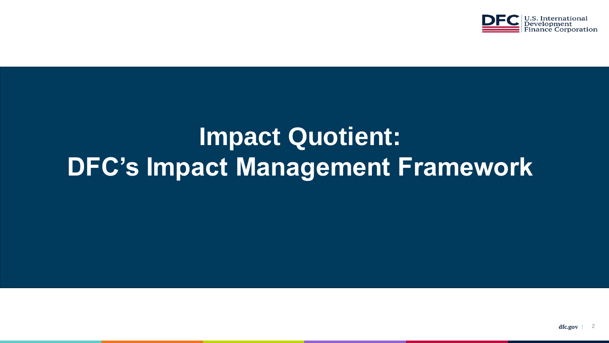

## **Impact Quotient: DFC's Impact Management Framework**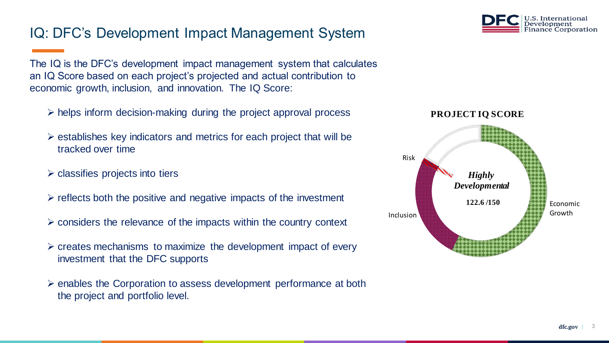## IQ: DFC's Development Impact Management System

The IQ is the DFC's development impact management system that calculates an IQ Score based on each project's projected and actual contribution to economic growth, inclusion, and innovation. The IQ Score:

- $\triangleright$  helps inform decision-making during the project approval process
- $\triangleright$  establishes key indicators and metrics for each project that will be tracked over time
- $\triangleright$  classifies projects into tiers
- $\triangleright$  reflects both the positive and negative impacts of the investment
- $\triangleright$  considers the relevance of the impacts within the country context
- $\triangleright$  creates mechanisms to maximize the development impact of every investment that the DFC supports
- ➢ enables the Corporation to assess development performance at both the project and portfolio level.



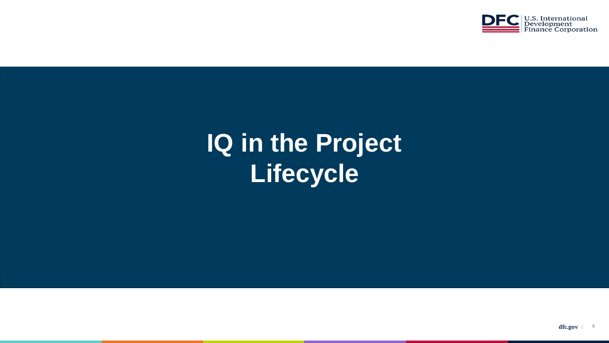

# **IQ in the Project Lifecycle**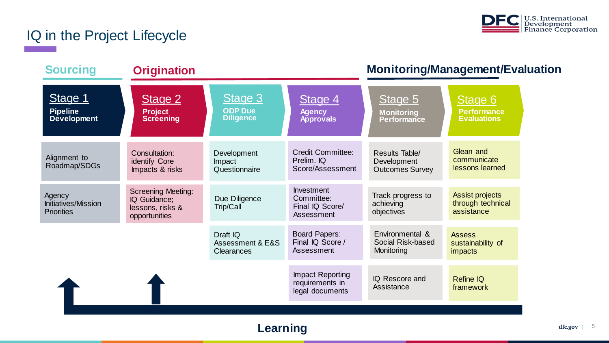

## IQ in the Project Lifecycle

| <b>Sourcing</b>                                           | <b>Origination</b>                                                             |                                                           |                                                                  | <b>Monitoring/Management/Evaluation</b>                        |                                                           |
|-----------------------------------------------------------|--------------------------------------------------------------------------------|-----------------------------------------------------------|------------------------------------------------------------------|----------------------------------------------------------------|-----------------------------------------------------------|
| Stage 1<br><b>Pipeline</b><br>Development                 | Stage 2<br><b>Project</b><br><b>Screening</b>                                  | Stage 3<br><b>ODP Due</b><br><b>Diligence</b>             | Stage 4<br><b>Agency</b><br><b>Approvals</b>                     | Stage 5<br><b>Monitoring</b><br><b>Performance</b>             | Stage 6<br><b>Performance</b><br><b>Evaluations</b>       |
| Alignment to<br>Roadmap/SDGs                              | Consultation:<br>identify Core<br>Impacts & risks                              | Development<br>Impact<br>Questionnaire                    | <b>Credit Committee:</b><br>Prelim. IQ<br>Score/Assessment       | <b>Results Table/</b><br>Development<br><b>Outcomes Survey</b> | Glean and<br>communicate<br>lessons learned               |
| Agency<br><b>Initiatives/Mission</b><br><b>Priorities</b> | <b>Screening Meeting:</b><br>IQ Guidance;<br>lessons, risks &<br>opportunities | Due Diligence<br>Trip/Call                                | <b>Investment</b><br>Committee:<br>Final IQ Score/<br>Assessment | Track progress to<br>achieving<br>objectives                   | <b>Assist projects</b><br>through technical<br>assistance |
|                                                           |                                                                                | Draft IQ<br><b>Assessment &amp; E&amp;S</b><br>Clearances | <b>Board Papers:</b><br>Final IQ Score /<br>Assessment           | Environmental &<br>Social Risk-based<br>Monitoring             | <b>Assess</b><br>sustainability of<br><i>impacts</i>      |
|                                                           |                                                                                |                                                           | <b>Impact Reporting</b><br>requirements in<br>legal documents    | IQ Rescore and<br>Assistance                                   | <b>Refine IQ</b><br>framework                             |
|                                                           |                                                                                |                                                           |                                                                  |                                                                |                                                           |

### **Learning**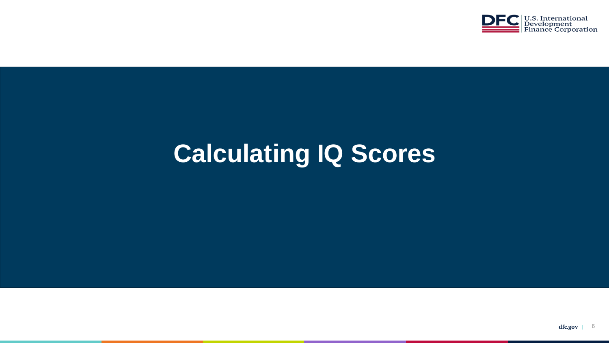

## **Calculating IQ Scores**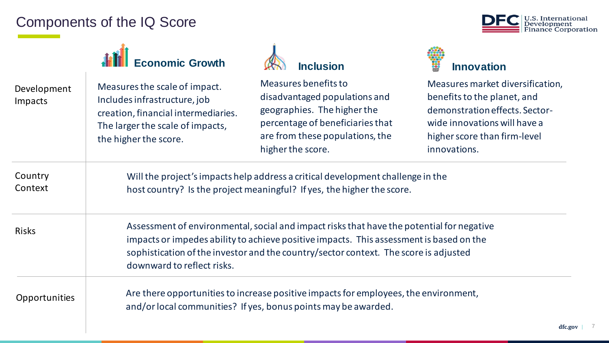### Components of the IQ Score



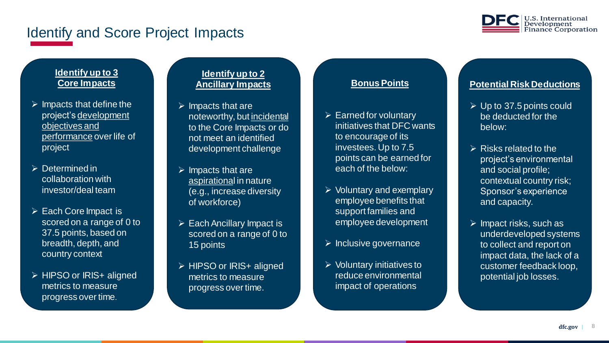### Identify and Score Project Impacts



#### **Identify up to 3 Core Impacts**

- $\triangleright$  Impacts that define the project's development objectives and performance over life of project
- ➢ Determined in collaboration with investor/deal team
- ➢ Each Core Impact is scored on a range of 0 to 37.5 points, based on breadth, depth, and country context
- ➢ HIPSO or IRIS+ aligned metrics to measure progress over time.

#### **Identify up to 2 Ancillary Impacts**

- **Core Impacts**  $\triangleright$  Impacts that are noteworthy, but incidental to the Core Impacts or do not meet an identified development challenge
- $\triangleright$  Impacts that are aspirational in nature (e.g., increase diversity of workforce)
- $\triangleright$  Each Ancillary Impact is scored on a range of 0 to 15 points
- ➢ HIPSO or IRIS+ aligned metrics to measure progress over time.

#### **Bonus Points**

- $\triangleright$  Earned for voluntary initiatives that DFC wants to encourage of its investees. Up to 7.5 points can be earned for each of the below:
- ➢ Voluntary and exemplary employee benefits that support families and employee development
- $\triangleright$  Inclusive governance
- ➢ Voluntary initiatives to reduce environmental impact of operations

#### **Potential Risk Deductions**

- $\triangleright$  Up to 37.5 points could be deducted for the below:
- $\triangleright$  Risks related to the project's environmental and social profile; contextual country risk; Sponsor's experience and capacity.
- $\triangleright$  Impact risks, such as underdeveloped systems to collect and report on impact data, the lack of a customer feedback loop, potential job losses.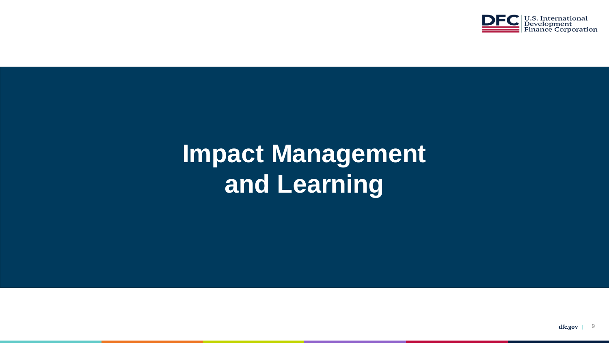

## **Impact Management and Learning**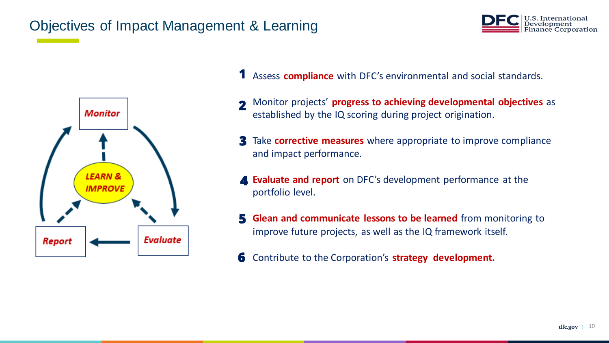### Objectives of Impact Management & Learning

**Evaluate** 

**Monitor** 

**LEARN & IMPROVE** 

Report





- Monitor projects' **progress to achieving developmental objectives** as established by the IQ scoring during project origination. **2**
- Take **corrective measures** where appropriate to improve compliance **3** and impact performance.
- **Evaluate and report** on DFC's development performance at the portfolio level. **4**
- **Glean and communicate lessons to be learned** from monitoring to improve future projects, as well as the IQ framework itself. **5**
- Contribute to the Corporation's **strategy development. 6**